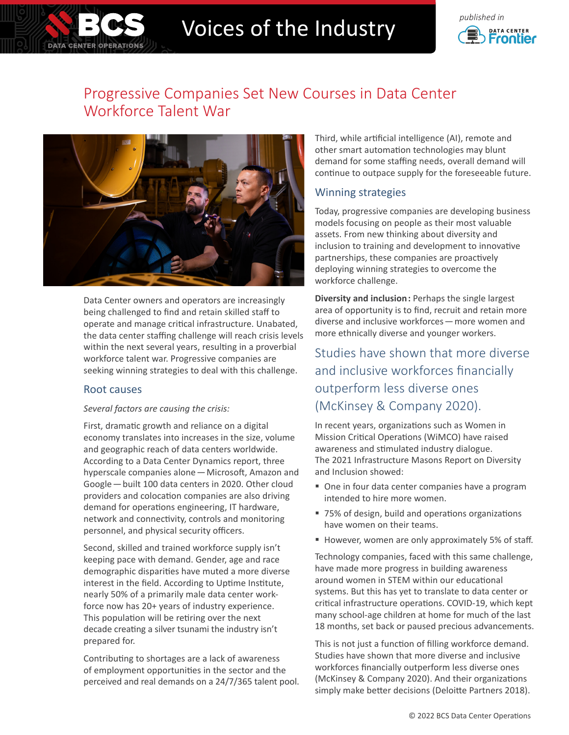

# Voices of the Industry **Construction**



# Progressive Companies Set New Courses in Data Center Workforce Talent War



Data Center owners and operators are increasingly being challenged to find and retain skilled staff to operate and manage critical infrastructure. Unabated, the data center staffing challenge will reach crisis levels within the next several years, resulting in a proverbial workforce talent war. Progressive companies are seeking winning strategies to deal with this challenge.

#### Root causes

#### *Several factors are causing the crisis:*

First, dramatic growth and reliance on a digital economy translates into increases in the size, volume and geographic reach of data centers worldwide. According to a Data Center Dynamics report, three hyperscale companies alone—Microsoft, Amazon and Google—built 100 data centers in 2020. Other cloud providers and colocation companies are also driving demand for operations engineering, IT hardware, network and connectivity, controls and monitoring personnel, and physical security officers.

Second, skilled and trained workforce supply isn't keeping pace with demand. Gender, age and race demographic disparities have muted a more diverse interest in the field. According to Uptime Institute, nearly 50% of a primarily male data center workforce now has 20+ years of industry experience. This population will be retiring over the next decade creating a silver tsunami the industry isn't prepared for.

Contributing to shortages are a lack of awareness of employment opportunities in the sector and the perceived and real demands on a 24/7/365 talent pool. Third, while artificial intelligence (AI), remote and other smart automation technologies may blunt demand for some staffing needs, overall demand will continue to outpace supply for the foreseeable future.

### Winning strategies

Today, progressive companies are developing business models focusing on people as their most valuable assets. From new thinking about diversity and inclusion to training and development to innovative partnerships, these companies are proactively deploying winning strategies to overcome the workforce challenge.

**Diversity and inclusion:** Perhaps the single largest area of opportunity is to find, recruit and retain more diverse and inclusive workforces—more women and more ethnically diverse and younger workers.

Studies have shown that more diverse and inclusive workforces financially outperform less diverse ones (McKinsey & Company 2020).

In recent years, organizations such as Women in Mission Critical Operations (WiMCO) have raised awareness and stimulated industry dialogue. The 2021 Infrastructure Masons Report on Diversity and Inclusion showed:

- One in four data center companies have a program intended to hire more women.
- 75% of design, build and operations organizations have women on their teams.
- However, women are only approximately 5% of staff.

Technology companies, faced with this same challenge, have made more progress in building awareness around women in STEM within our educational systems. But this has yet to translate to data center or critical infrastructure operations. COVID-19, which kept many school-age children at home for much of the last 18 months, set back or paused precious advancements.

This is not just a function of filling workforce demand. Studies have shown that more diverse and inclusive workforces financially outperform less diverse ones (McKinsey & Company 2020). And their organizations simply make better decisions (Deloitte Partners 2018).